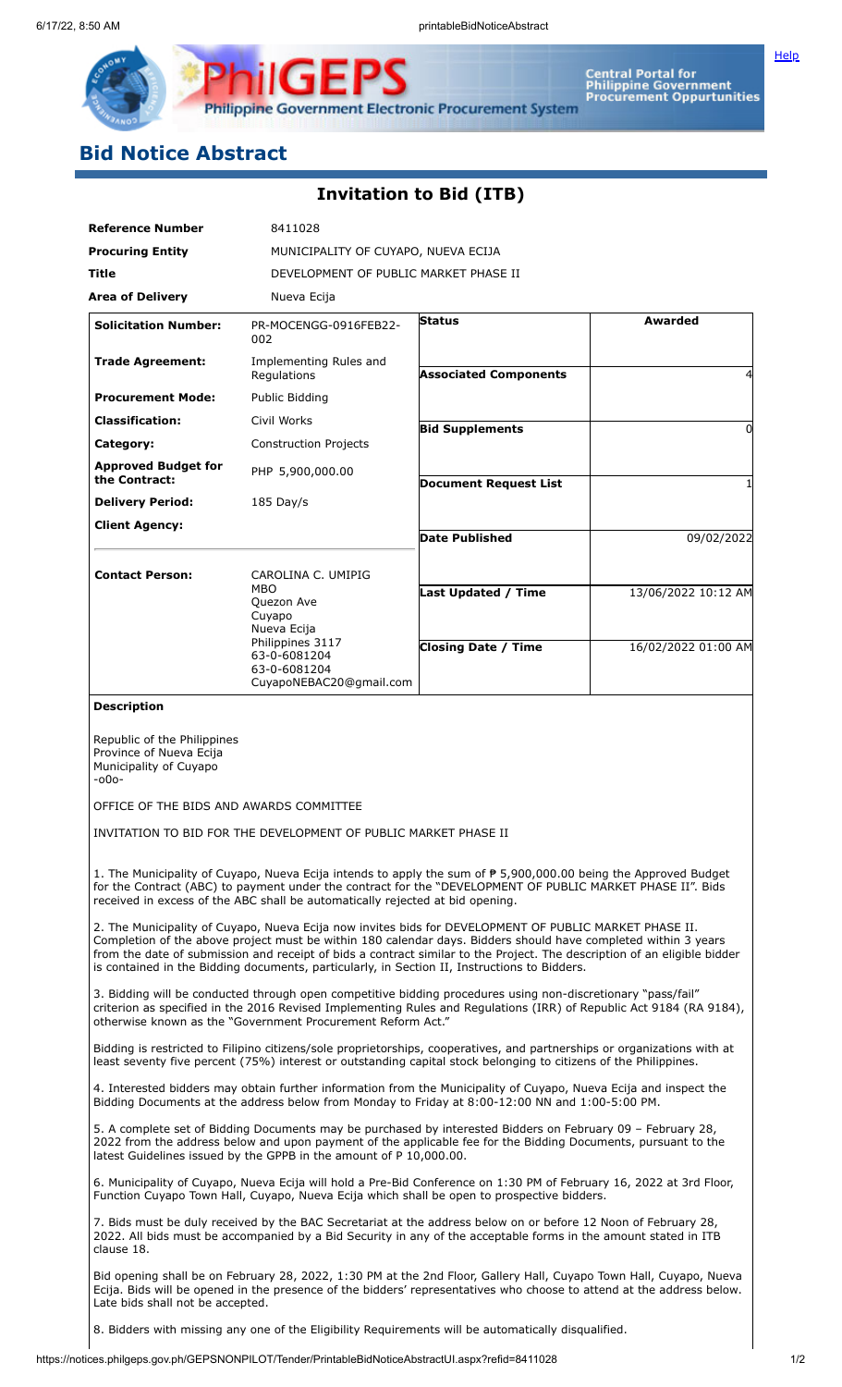

**[Help](javascript:void(window.open()** 

**Philippine Government Electronic Procurement System** 

PS

IGEI

## **Bid Notice Abstract**

₽

## **Invitation to Bid (ITB)**

| <b>Reference Number</b>                                                                                                                                                                                                                                                                                                                                                                                                                              | 8411028                                                                                                                                         |                                                                                                                                                                                                                                             |                     |
|------------------------------------------------------------------------------------------------------------------------------------------------------------------------------------------------------------------------------------------------------------------------------------------------------------------------------------------------------------------------------------------------------------------------------------------------------|-------------------------------------------------------------------------------------------------------------------------------------------------|---------------------------------------------------------------------------------------------------------------------------------------------------------------------------------------------------------------------------------------------|---------------------|
| <b>Procuring Entity</b>                                                                                                                                                                                                                                                                                                                                                                                                                              | MUNICIPALITY OF CUYAPO, NUEVA ECIJA                                                                                                             |                                                                                                                                                                                                                                             |                     |
| Title                                                                                                                                                                                                                                                                                                                                                                                                                                                | DEVELOPMENT OF PUBLIC MARKET PHASE II                                                                                                           |                                                                                                                                                                                                                                             |                     |
| <b>Area of Delivery</b>                                                                                                                                                                                                                                                                                                                                                                                                                              | Nueva Ecija                                                                                                                                     |                                                                                                                                                                                                                                             |                     |
| <b>Solicitation Number:</b>                                                                                                                                                                                                                                                                                                                                                                                                                          | PR-MOCENGG-0916FEB22-<br>002                                                                                                                    | <b>Status</b>                                                                                                                                                                                                                               | Awarded             |
| <b>Trade Agreement:</b>                                                                                                                                                                                                                                                                                                                                                                                                                              | Implementing Rules and<br>Regulations                                                                                                           | <b>Associated Components</b>                                                                                                                                                                                                                |                     |
| <b>Procurement Mode:</b>                                                                                                                                                                                                                                                                                                                                                                                                                             | Public Bidding                                                                                                                                  |                                                                                                                                                                                                                                             |                     |
| <b>Classification:</b>                                                                                                                                                                                                                                                                                                                                                                                                                               | Civil Works                                                                                                                                     | <b>Bid Supplements</b>                                                                                                                                                                                                                      | 0                   |
| Category:                                                                                                                                                                                                                                                                                                                                                                                                                                            | <b>Construction Projects</b>                                                                                                                    |                                                                                                                                                                                                                                             |                     |
| <b>Approved Budget for</b><br>the Contract:                                                                                                                                                                                                                                                                                                                                                                                                          | PHP 5,900,000.00                                                                                                                                | <b>Document Request List</b>                                                                                                                                                                                                                |                     |
| <b>Delivery Period:</b>                                                                                                                                                                                                                                                                                                                                                                                                                              | 185 Day/s                                                                                                                                       |                                                                                                                                                                                                                                             |                     |
| <b>Client Agency:</b>                                                                                                                                                                                                                                                                                                                                                                                                                                |                                                                                                                                                 |                                                                                                                                                                                                                                             |                     |
|                                                                                                                                                                                                                                                                                                                                                                                                                                                      |                                                                                                                                                 | <b>Date Published</b>                                                                                                                                                                                                                       | 09/02/2022          |
| <b>Contact Person:</b>                                                                                                                                                                                                                                                                                                                                                                                                                               | CAROLINA C. UMIPIG<br>MBO<br>Quezon Ave<br>Cuyapo<br>Nueva Ecija<br>Philippines 3117<br>63-0-6081204<br>63-0-6081204<br>CuyapoNEBAC20@gmail.com | <b>Last Updated / Time</b>                                                                                                                                                                                                                  | 13/06/2022 10:12 AM |
|                                                                                                                                                                                                                                                                                                                                                                                                                                                      |                                                                                                                                                 | <b>Closing Date / Time</b>                                                                                                                                                                                                                  | 16/02/2022 01:00 AM |
| <b>Description</b>                                                                                                                                                                                                                                                                                                                                                                                                                                   |                                                                                                                                                 |                                                                                                                                                                                                                                             |                     |
| -000-<br>OFFICE OF THE BIDS AND AWARDS COMMITTEE<br>INVITATION TO BID FOR THE DEVELOPMENT OF PUBLIC MARKET PHASE II                                                                                                                                                                                                                                                                                                                                  |                                                                                                                                                 |                                                                                                                                                                                                                                             |                     |
| 1. The Municipality of Cuyapo, Nueva Ecija intends to apply the sum of ₱ 5,900,000.00 being the Approved Budget<br>for the Contract (ABC) to payment under the contract for the "DEVELOPMENT OF PUBLIC MARKET PHASE II". Bids<br>received in excess of the ABC shall be automatically rejected at bid opening.                                                                                                                                       |                                                                                                                                                 |                                                                                                                                                                                                                                             |                     |
| 2. The Municipality of Cuyapo, Nueva Ecija now invites bids for DEVELOPMENT OF PUBLIC MARKET PHASE II.<br>Completion of the above project must be within 180 calendar days. Bidders should have completed within 3 years<br>from the date of submission and receipt of bids a contract similar to the Project. The description of an eligible bidder<br>is contained in the Bidding documents, particularly, in Section II, Instructions to Bidders. |                                                                                                                                                 |                                                                                                                                                                                                                                             |                     |
| 3. Bidding will be conducted through open competitive bidding procedures using non-discretionary "pass/fail"<br>criterion as specified in the 2016 Revised Implementing Rules and Regulations (IRR) of Republic Act 9184 (RA 9184),<br>otherwise known as the "Government Procurement Reform Act."                                                                                                                                                   |                                                                                                                                                 |                                                                                                                                                                                                                                             |                     |
| Bidding is restricted to Filipino citizens/sole proprietorships, cooperatives, and partnerships or organizations with at<br>least seventy five percent (75%) interest or outstanding capital stock belonging to citizens of the Philippines.                                                                                                                                                                                                         |                                                                                                                                                 |                                                                                                                                                                                                                                             |                     |
| 4. Interested bidders may obtain further information from the Municipality of Cuyapo, Nueva Ecija and inspect the<br>Bidding Documents at the address below from Monday to Friday at 8:00-12:00 NN and 1:00-5:00 PM.                                                                                                                                                                                                                                 |                                                                                                                                                 |                                                                                                                                                                                                                                             |                     |
| 5. A complete set of Bidding Documents may be purchased by interested Bidders on February 09 - February 28,<br>2022 from the address below and upon payment of the applicable fee for the Bidding Documents, pursuant to the<br>latest Guidelines issued by the GPPB in the amount of P 10,000.00.                                                                                                                                                   |                                                                                                                                                 |                                                                                                                                                                                                                                             |                     |
| 6. Municipality of Cuyapo, Nueva Ecija will hold a Pre-Bid Conference on 1:30 PM of February 16, 2022 at 3rd Floor,<br>Function Cuyapo Town Hall, Cuyapo, Nueva Ecija which shall be open to prospective bidders.                                                                                                                                                                                                                                    |                                                                                                                                                 |                                                                                                                                                                                                                                             |                     |
| 7. Bids must be duly received by the BAC Secretariat at the address below on or before 12 Noon of February 28,<br>2022. All bids must be accompanied by a Bid Security in any of the acceptable forms in the amount stated in ITB<br>clause 18.                                                                                                                                                                                                      |                                                                                                                                                 |                                                                                                                                                                                                                                             |                     |
| Late bids shall not be accepted.                                                                                                                                                                                                                                                                                                                                                                                                                     |                                                                                                                                                 | Bid opening shall be on February 28, 2022, 1:30 PM at the 2nd Floor, Gallery Hall, Cuyapo Town Hall, Cuyapo, Nueva<br>Ecija. Bids will be opened in the presence of the bidders' representatives who choose to attend at the address below. |                     |

8. Bidders with missing any one of the Eligibility Requirements will be automatically disqualified.